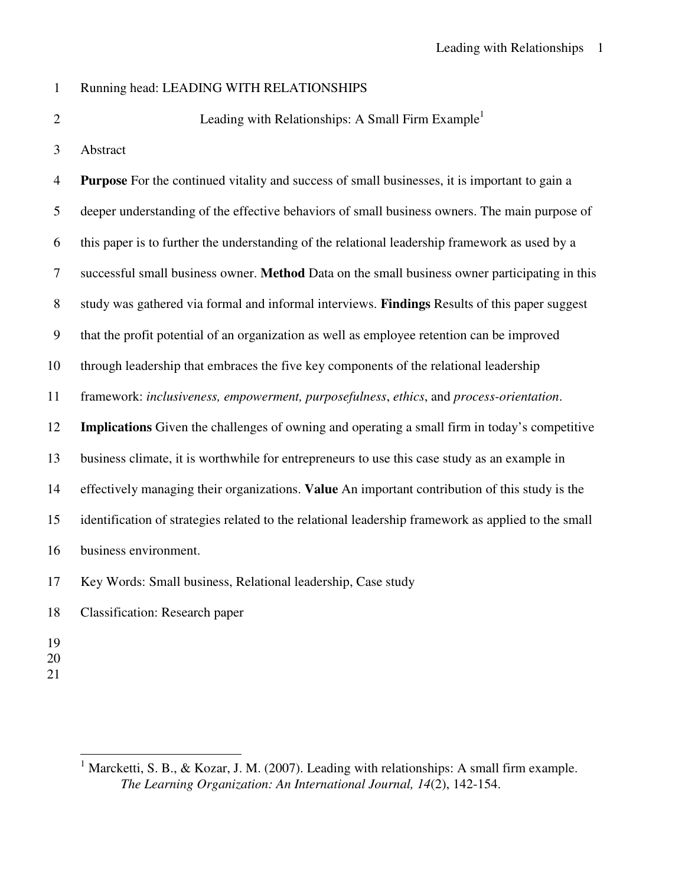## 1 Running head: LEADING WITH RELATIONSHIPS

2

Leading with Relationships: A Small Firm Example<sup>1</sup>

3 Abstract

4 **Purpose** For the continued vitality and success of small businesses, it is important to gain a 5 deeper understanding of the effective behaviors of small business owners. The main purpose of 6 this paper is to further the understanding of the relational leadership framework as used by a 7 successful small business owner. **Method** Data on the small business owner participating in this 8 study was gathered via formal and informal interviews. **Findings** Results of this paper suggest 9 that the profit potential of an organization as well as employee retention can be improved 10 through leadership that embraces the five key components of the relational leadership 11 framework: *inclusiveness, empowerment, purposefulness*, *ethics*, and *process-orientation*. 12 **Implications** Given the challenges of owning and operating a small firm in today's competitive 13 business climate, it is worthwhile for entrepreneurs to use this case study as an example in 14 effectively managing their organizations. **Value** An important contribution of this study is the 15 identification of strategies related to the relational leadership framework as applied to the small 16 business environment. 17 Key Words: Small business, Relational leadership, Case study 18 Classification: Research paper

- 19
- 20
- 21

 $\overline{a}$ 

<sup>&</sup>lt;sup>1</sup> Marcketti, S. B., & Kozar, J. M. (2007). Leading with relationships: A small firm example. *The Learning Organization: An International Journal, 14*(2), 142-154.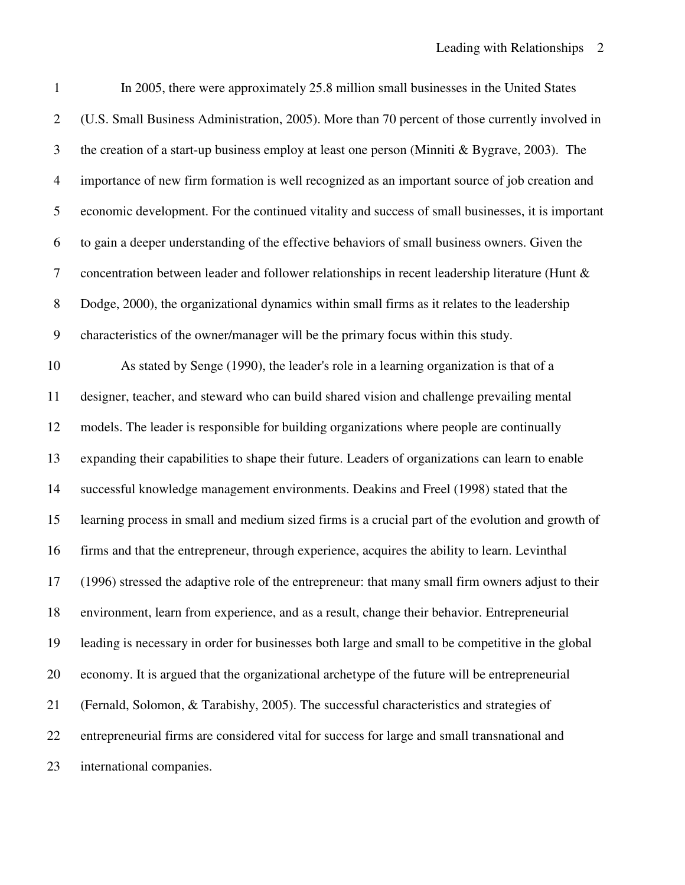| $\mathbf{1}$   | In 2005, there were approximately 25.8 million small businesses in the United States               |
|----------------|----------------------------------------------------------------------------------------------------|
| $\overline{2}$ | (U.S. Small Business Administration, 2005). More than 70 percent of those currently involved in    |
| 3              | the creation of a start-up business employ at least one person (Minniti & Bygrave, 2003). The      |
| $\overline{4}$ | importance of new firm formation is well recognized as an important source of job creation and     |
| 5              | economic development. For the continued vitality and success of small businesses, it is important  |
| 6              | to gain a deeper understanding of the effective behaviors of small business owners. Given the      |
| $\tau$         | concentration between leader and follower relationships in recent leadership literature (Hunt &    |
| 8              | Dodge, 2000), the organizational dynamics within small firms as it relates to the leadership       |
| 9              | characteristics of the owner/manager will be the primary focus within this study.                  |
| 10             | As stated by Senge (1990), the leader's role in a learning organization is that of a               |
| 11             | designer, teacher, and steward who can build shared vision and challenge prevailing mental         |
| 12             | models. The leader is responsible for building organizations where people are continually          |
| 13             | expanding their capabilities to shape their future. Leaders of organizations can learn to enable   |
| 14             | successful knowledge management environments. Deakins and Freel (1998) stated that the             |
| 15             | learning process in small and medium sized firms is a crucial part of the evolution and growth of  |
| 16             | firms and that the entrepreneur, through experience, acquires the ability to learn. Levinthal      |
| 17             | (1996) stressed the adaptive role of the entrepreneur: that many small firm owners adjust to their |
| 18             | environment, learn from experience, and as a result, change their behavior. Entrepreneurial        |
| 19             | leading is necessary in order for businesses both large and small to be competitive in the global  |
| 20             | economy. It is argued that the organizational archetype of the future will be entrepreneurial      |
| 21             | (Fernald, Solomon, & Tarabishy, 2005). The successful characteristics and strategies of            |
| 22             | entrepreneurial firms are considered vital for success for large and small transnational and       |
| 23             | international companies.                                                                           |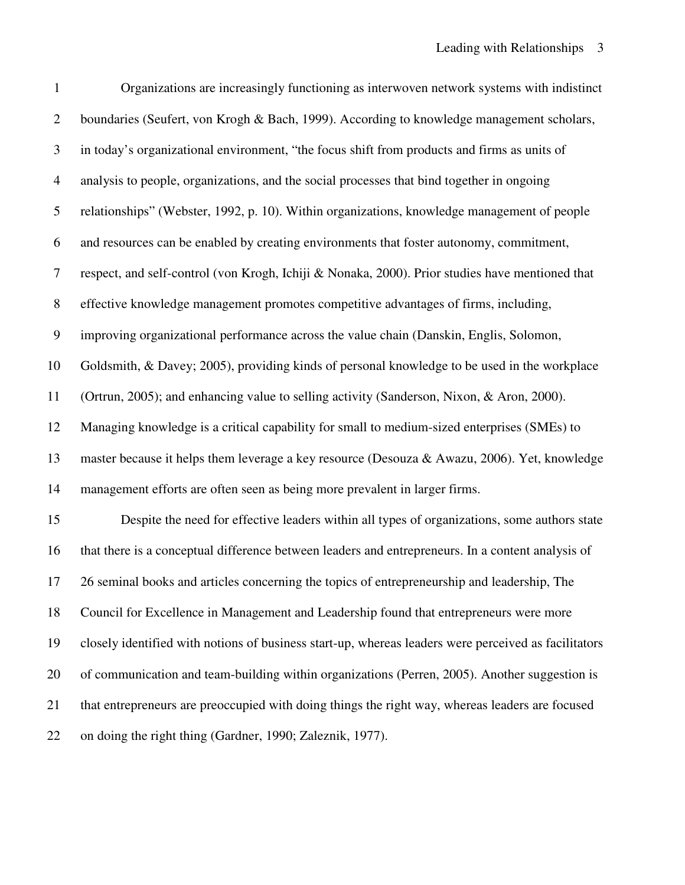| $\mathbf{1}$   | Organizations are increasingly functioning as interwoven network systems with indistinct             |
|----------------|------------------------------------------------------------------------------------------------------|
| $\mathbf{2}$   | boundaries (Seufert, von Krogh & Bach, 1999). According to knowledge management scholars,            |
| 3              | in today's organizational environment, "the focus shift from products and firms as units of          |
| $\overline{4}$ | analysis to people, organizations, and the social processes that bind together in ongoing            |
| 5              | relationships" (Webster, 1992, p. 10). Within organizations, knowledge management of people          |
| 6              | and resources can be enabled by creating environments that foster autonomy, commitment,              |
| 7              | respect, and self-control (von Krogh, Ichiji & Nonaka, 2000). Prior studies have mentioned that      |
| $8\,$          | effective knowledge management promotes competitive advantages of firms, including,                  |
| 9              | improving organizational performance across the value chain (Danskin, Englis, Solomon,               |
| 10             | Goldsmith, & Davey; 2005), providing kinds of personal knowledge to be used in the workplace         |
| 11             | (Ortrun, 2005); and enhancing value to selling activity (Sanderson, Nixon, & Aron, 2000).            |
| 12             | Managing knowledge is a critical capability for small to medium-sized enterprises (SMEs) to          |
| 13             | master because it helps them leverage a key resource (Desouza & Awazu, 2006). Yet, knowledge         |
| 14             | management efforts are often seen as being more prevalent in larger firms.                           |
| 15             | Despite the need for effective leaders within all types of organizations, some authors state         |
| 16             | that there is a conceptual difference between leaders and entrepreneurs. In a content analysis of    |
| 17             | 26 seminal books and articles concerning the topics of entrepreneurship and leadership, The          |
| 18             | Council for Excellence in Management and Leadership found that entrepreneurs were more               |
| 19             | closely identified with notions of business start-up, whereas leaders were perceived as facilitators |
| 20             | of communication and team-building within organizations (Perren, 2005). Another suggestion is        |
| 21             | that entrepreneurs are preoccupied with doing things the right way, whereas leaders are focused      |
| 22             | on doing the right thing (Gardner, 1990; Zaleznik, 1977).                                            |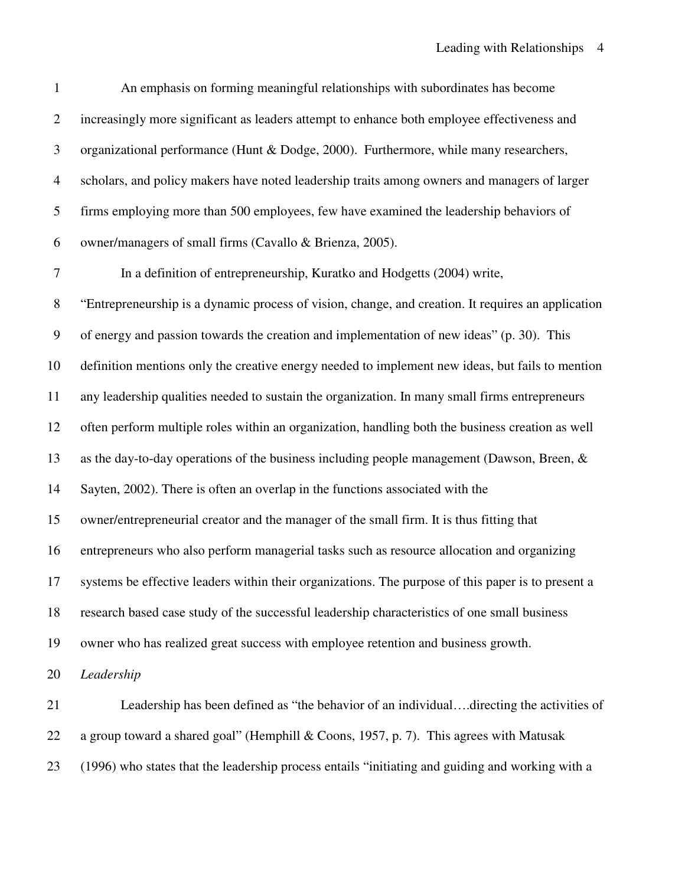| $\mathbf{1}$   | An emphasis on forming meaningful relationships with subordinates has become                       |
|----------------|----------------------------------------------------------------------------------------------------|
| $\overline{2}$ | increasingly more significant as leaders attempt to enhance both employee effectiveness and        |
| 3              | organizational performance (Hunt & Dodge, 2000). Furthermore, while many researchers,              |
| $\overline{4}$ | scholars, and policy makers have noted leadership traits among owners and managers of larger       |
| 5              | firms employing more than 500 employees, few have examined the leadership behaviors of             |
| 6              | owner/managers of small firms (Cavallo & Brienza, 2005).                                           |
| 7              | In a definition of entrepreneurship, Kuratko and Hodgetts (2004) write,                            |
| $8\,$          | "Entrepreneurship is a dynamic process of vision, change, and creation. It requires an application |
| 9              | of energy and passion towards the creation and implementation of new ideas" (p. 30). This          |
| 10             | definition mentions only the creative energy needed to implement new ideas, but fails to mention   |
| 11             | any leadership qualities needed to sustain the organization. In many small firms entrepreneurs     |
| 12             | often perform multiple roles within an organization, handling both the business creation as well   |
| 13             | as the day-to-day operations of the business including people management (Dawson, Breen, &         |
| 14             | Sayten, 2002). There is often an overlap in the functions associated with the                      |
| 15             | owner/entrepreneurial creator and the manager of the small firm. It is thus fitting that           |
| 16             | entrepreneurs who also perform managerial tasks such as resource allocation and organizing         |
| 17             | systems be effective leaders within their organizations. The purpose of this paper is to present a |
| 18             | research based case study of the successful leadership characteristics of one small business       |
| 19             | owner who has realized great success with employee retention and business growth.                  |
| 20             | Leadership                                                                                         |
| 21             | Leadership has been defined as "the behavior of an individualdirecting the activities of           |
| 22             | a group toward a shared goal" (Hemphill & Coons, 1957, p. 7). This agrees with Matusak             |
| 23             | (1996) who states that the leadership process entails "initiating and guiding and working with a   |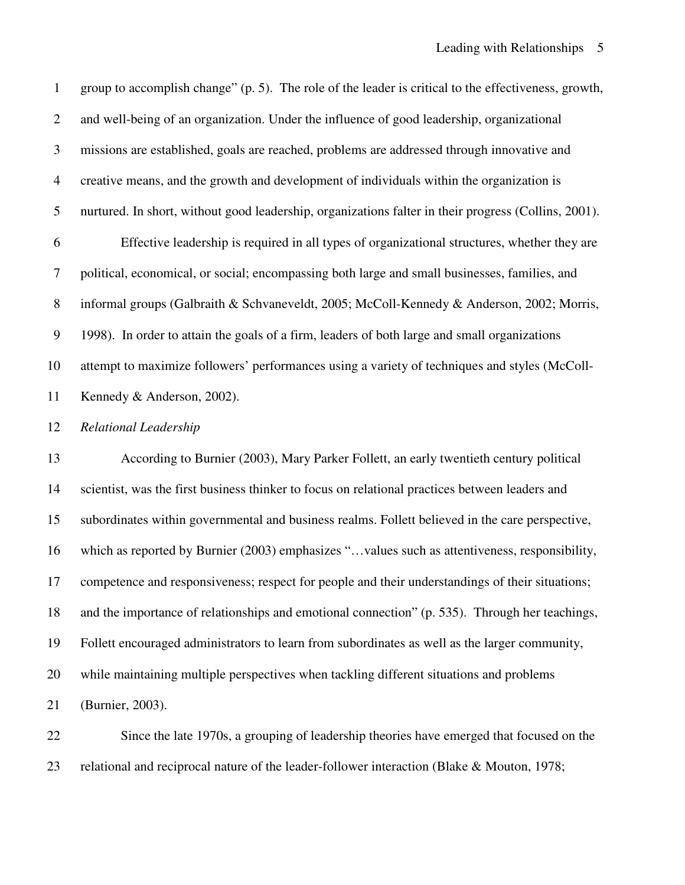1 group to accomplish change" (p. 5). The role of the leader is critical to the effectiveness, growth, 2 and well-being of an organization. Under the influence of good leadership, organizational 3 missions are established, goals are reached, problems are addressed through innovative and 4 creative means, and the growth and development of individuals within the organization is 5 nurtured. In short, without good leadership, organizations falter in their progress (Collins, 2001). 6 Effective leadership is required in all types of organizational structures, whether they are 7 political, economical, or social; encompassing both large and small businesses, families, and 8 informal groups (Galbraith & Schvaneveldt, 2005; McColl-Kennedy & Anderson, 2002; Morris, 9 1998). In order to attain the goals of a firm, leaders of both large and small organizations 10 attempt to maximize followers' performances using a variety of techniques and styles (McColl-11 Kennedy & Anderson, 2002). 12 *Relational Leadership*  13 According to Burnier (2003), Mary Parker Follett, an early twentieth century political 14 scientist, was the first business thinker to focus on relational practices between leaders and 15 subordinates within governmental and business realms. Follett believed in the care perspective, 16 which as reported by Burnier (2003) emphasizes "…values such as attentiveness, responsibility, 17 competence and responsiveness; respect for people and their understandings of their situations; 18 and the importance of relationships and emotional connection" (p. 535). Through her teachings, 19 Follett encouraged administrators to learn from subordinates as well as the larger community, 20 while maintaining multiple perspectives when tackling different situations and problems 21 (Burnier, 2003).

22 Since the late 1970s, a grouping of leadership theories have emerged that focused on the 23 relational and reciprocal nature of the leader-follower interaction (Blake & Mouton, 1978;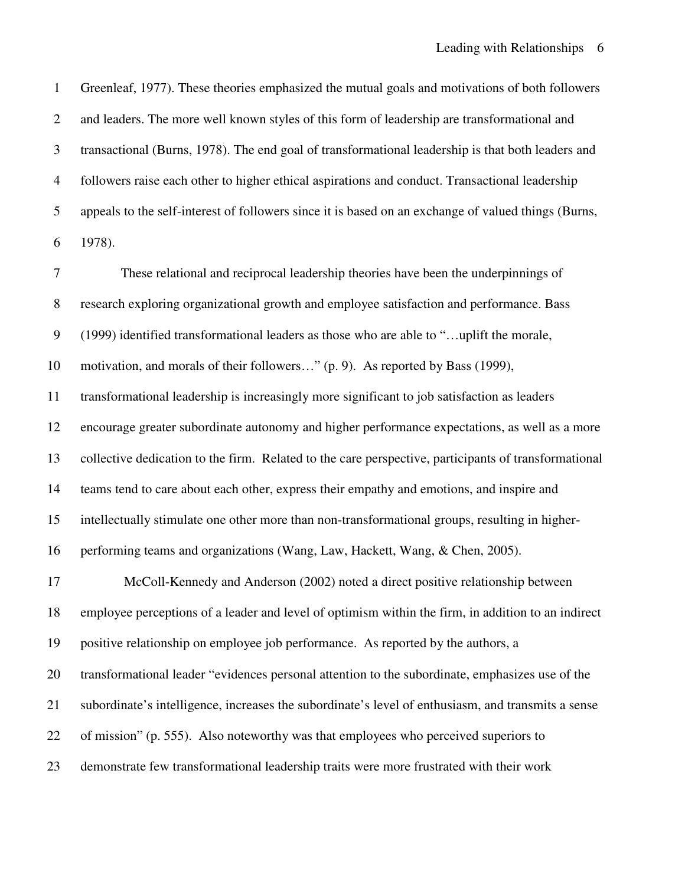1 Greenleaf, 1977). These theories emphasized the mutual goals and motivations of both followers 2 and leaders. The more well known styles of this form of leadership are transformational and 3 transactional (Burns, 1978). The end goal of transformational leadership is that both leaders and 4 followers raise each other to higher ethical aspirations and conduct. Transactional leadership 5 appeals to the self-interest of followers since it is based on an exchange of valued things (Burns, 6 1978).

7 These relational and reciprocal leadership theories have been the underpinnings of 8 research exploring organizational growth and employee satisfaction and performance. Bass 9 (1999) identified transformational leaders as those who are able to "…uplift the morale, 10 motivation, and morals of their followers…" (p. 9). As reported by Bass (1999), 11 transformational leadership is increasingly more significant to job satisfaction as leaders 12 encourage greater subordinate autonomy and higher performance expectations, as well as a more 13 collective dedication to the firm. Related to the care perspective, participants of transformational 14 teams tend to care about each other, express their empathy and emotions, and inspire and 15 intellectually stimulate one other more than non-transformational groups, resulting in higher-16 performing teams and organizations (Wang, Law, Hackett, Wang, & Chen, 2005). 17 McColl-Kennedy and Anderson (2002) noted a direct positive relationship between 18 employee perceptions of a leader and level of optimism within the firm, in addition to an indirect 19 positive relationship on employee job performance. As reported by the authors, a 20 transformational leader "evidences personal attention to the subordinate, emphasizes use of the 21 subordinate's intelligence, increases the subordinate's level of enthusiasm, and transmits a sense 22 of mission" (p. 555). Also noteworthy was that employees who perceived superiors to 23 demonstrate few transformational leadership traits were more frustrated with their work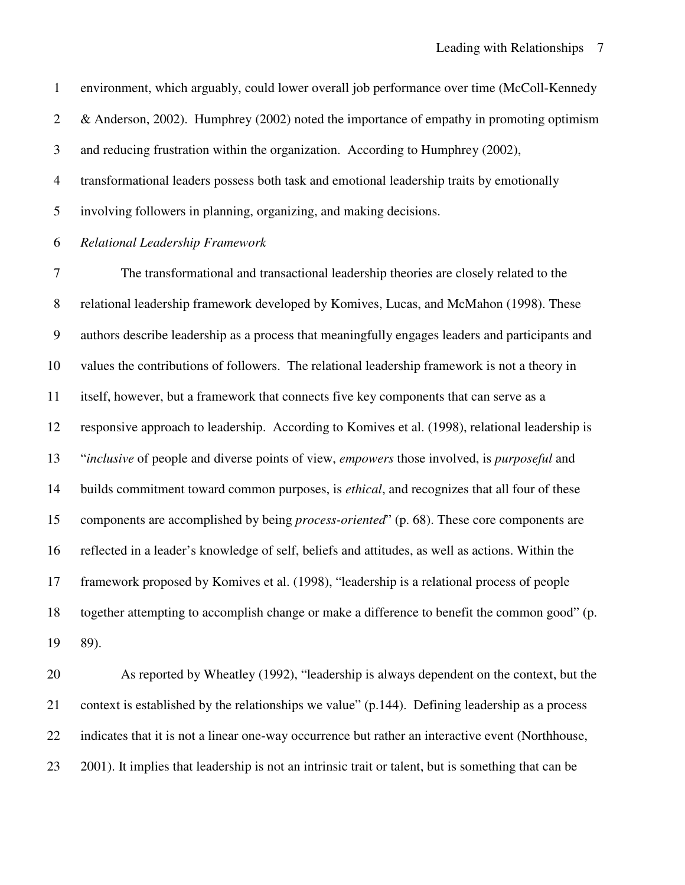1 environment, which arguably, could lower overall job performance over time (McColl-Kennedy 2 & Anderson, 2002). Humphrey (2002) noted the importance of empathy in promoting optimism 3 and reducing frustration within the organization. According to Humphrey (2002), 4 transformational leaders possess both task and emotional leadership traits by emotionally 5 involving followers in planning, organizing, and making decisions. 6 *Relational Leadership Framework*  7 The transformational and transactional leadership theories are closely related to the 8 relational leadership framework developed by Komives, Lucas, and McMahon (1998). These 9 authors describe leadership as a process that meaningfully engages leaders and participants and 10 values the contributions of followers. The relational leadership framework is not a theory in 11 itself, however, but a framework that connects five key components that can serve as a 12 responsive approach to leadership. According to Komives et al. (1998), relational leadership is 13 "*inclusive* of people and diverse points of view, *empowers* those involved, is *purposeful* and 14 builds commitment toward common purposes, is *ethical*, and recognizes that all four of these 15 components are accomplished by being *process-oriented*" (p. 68). These core components are 16 reflected in a leader's knowledge of self, beliefs and attitudes, as well as actions. Within the 17 framework proposed by Komives et al. (1998), "leadership is a relational process of people 18 together attempting to accomplish change or make a difference to benefit the common good" (p.

19 89).

20 As reported by Wheatley (1992), "leadership is always dependent on the context, but the 21 context is established by the relationships we value" (p.144). Defining leadership as a process 22 indicates that it is not a linear one-way occurrence but rather an interactive event (Northhouse, 23 2001). It implies that leadership is not an intrinsic trait or talent, but is something that can be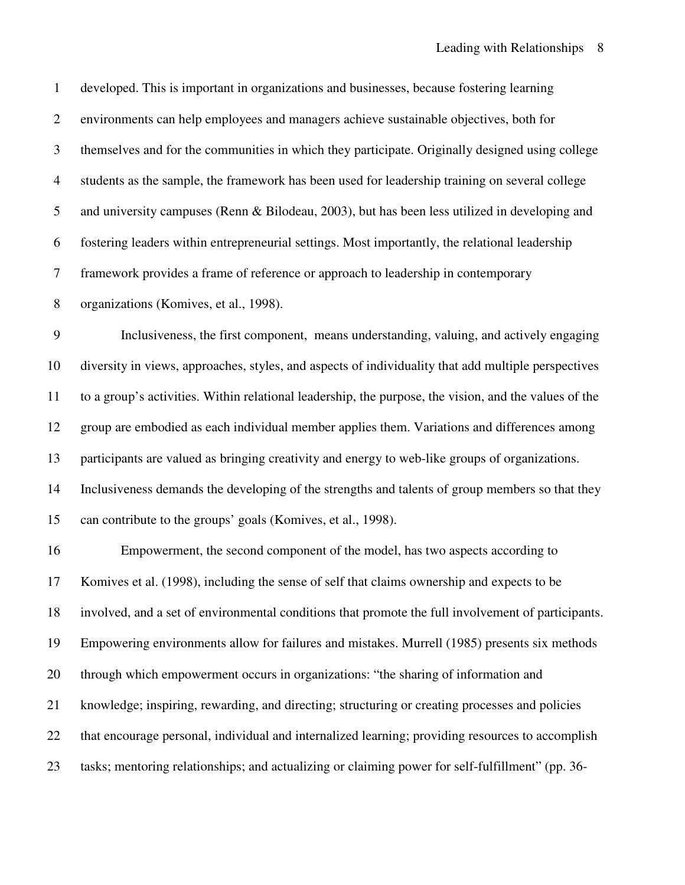1 developed. This is important in organizations and businesses, because fostering learning 2 environments can help employees and managers achieve sustainable objectives, both for 3 themselves and for the communities in which they participate. Originally designed using college 4 students as the sample, the framework has been used for leadership training on several college 5 and university campuses (Renn & Bilodeau, 2003), but has been less utilized in developing and 6 fostering leaders within entrepreneurial settings. Most importantly, the relational leadership 7 framework provides a frame of reference or approach to leadership in contemporary 8 organizations (Komives, et al., 1998). 9 Inclusiveness, the first component, means understanding, valuing, and actively engaging 10 diversity in views, approaches, styles, and aspects of individuality that add multiple perspectives 11 to a group's activities. Within relational leadership, the purpose, the vision, and the values of the 12 group are embodied as each individual member applies them. Variations and differences among 13 participants are valued as bringing creativity and energy to web-like groups of organizations. 14 Inclusiveness demands the developing of the strengths and talents of group members so that they 15 can contribute to the groups' goals (Komives, et al., 1998). 16 Empowerment, the second component of the model, has two aspects according to 17 Komives et al. (1998), including the sense of self that claims ownership and expects to be 18 involved, and a set of environmental conditions that promote the full involvement of participants. 19 Empowering environments allow for failures and mistakes. Murrell (1985) presents six methods 20 through which empowerment occurs in organizations: "the sharing of information and 21 knowledge; inspiring, rewarding, and directing; structuring or creating processes and policies 22 that encourage personal, individual and internalized learning; providing resources to accomplish 23 tasks; mentoring relationships; and actualizing or claiming power for self-fulfillment" (pp. 36-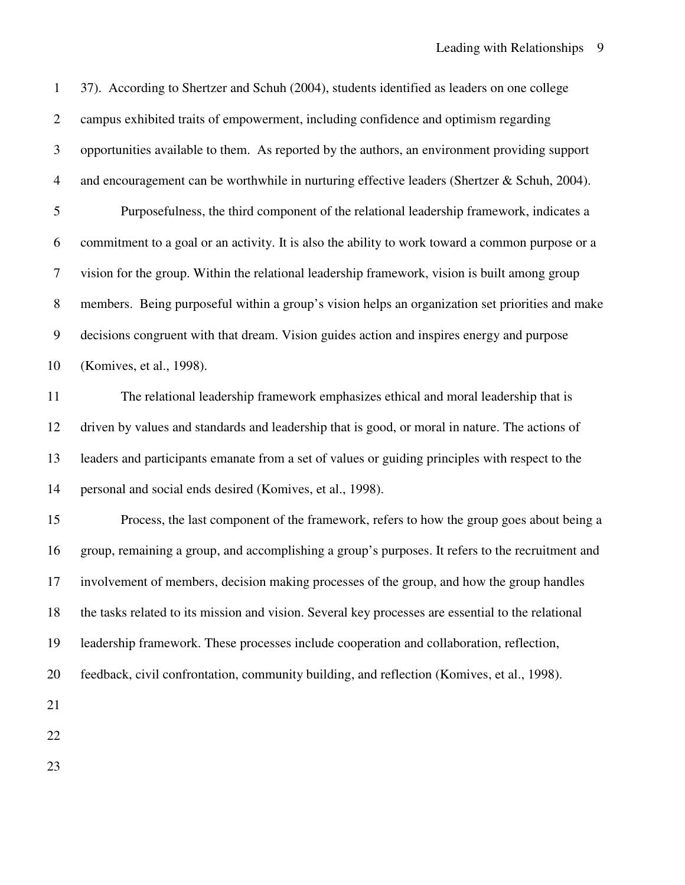| $\mathbf{1}$     | 37). According to Shertzer and Schuh (2004), students identified as leaders on one college         |
|------------------|----------------------------------------------------------------------------------------------------|
| $\overline{2}$   | campus exhibited traits of empowerment, including confidence and optimism regarding                |
| $\mathfrak{Z}$   | opportunities available to them. As reported by the authors, an environment providing support      |
| $\overline{4}$   | and encouragement can be worthwhile in nurturing effective leaders (Shertzer & Schuh, 2004).       |
| 5                | Purposefulness, the third component of the relational leadership framework, indicates a            |
| 6                | commitment to a goal or an activity. It is also the ability to work toward a common purpose or a   |
| $\overline{7}$   | vision for the group. Within the relational leadership framework, vision is built among group      |
| $8\,$            | members. Being purposeful within a group's vision helps an organization set priorities and make    |
| $\boldsymbol{9}$ | decisions congruent with that dream. Vision guides action and inspires energy and purpose          |
| 10               | (Komives, et al., 1998).                                                                           |
| 11               | The relational leadership framework emphasizes ethical and moral leadership that is                |
| 12               | driven by values and standards and leadership that is good, or moral in nature. The actions of     |
| 13               | leaders and participants emanate from a set of values or guiding principles with respect to the    |
| 14               | personal and social ends desired (Komives, et al., 1998).                                          |
| 15               | Process, the last component of the framework, refers to how the group goes about being a           |
| 16               | group, remaining a group, and accomplishing a group's purposes. It refers to the recruitment and   |
| 17               | involvement of members, decision making processes of the group, and how the group handles          |
| 18               | the tasks related to its mission and vision. Several key processes are essential to the relational |
| 19               | leadership framework. These processes include cooperation and collaboration, reflection,           |
| 20               | feedback, civil confrontation, community building, and reflection (Komives, et al., 1998).         |
| 21               |                                                                                                    |
| 22               |                                                                                                    |
| 23               |                                                                                                    |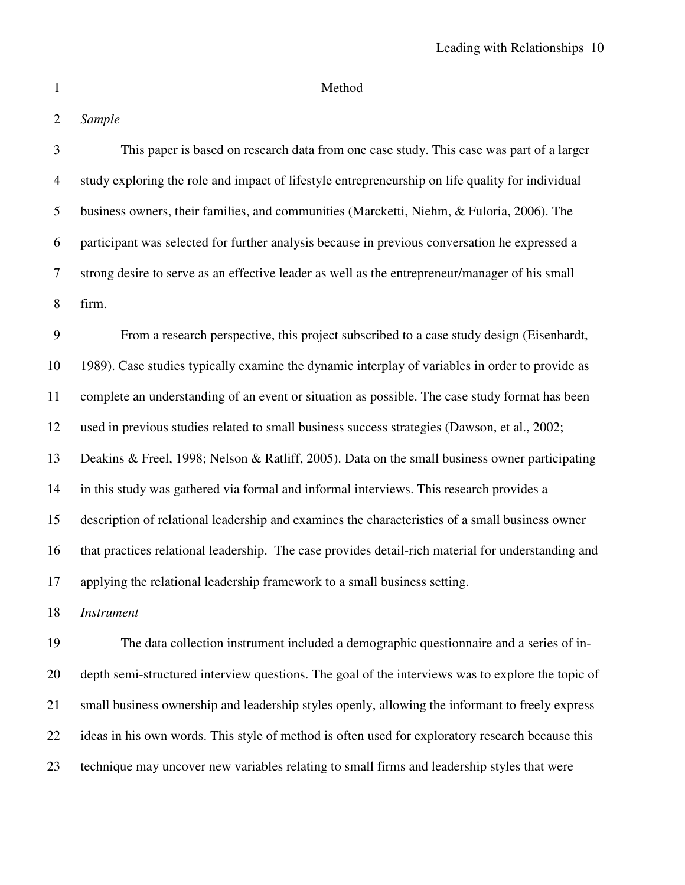# 1 Method

# 2 *Sample*

| 3              | This paper is based on research data from one case study. This case was part of a larger           |
|----------------|----------------------------------------------------------------------------------------------------|
| $\overline{4}$ | study exploring the role and impact of lifestyle entrepreneurship on life quality for individual   |
| 5              | business owners, their families, and communities (Marcketti, Niehm, & Fuloria, 2006). The          |
| 6              | participant was selected for further analysis because in previous conversation he expressed a      |
| 7              | strong desire to serve as an effective leader as well as the entrepreneur/manager of his small     |
| 8              | firm.                                                                                              |
| 9              | From a research perspective, this project subscribed to a case study design (Eisenhardt,           |
| 10             | 1989). Case studies typically examine the dynamic interplay of variables in order to provide as    |
| 11             | complete an understanding of an event or situation as possible. The case study format has been     |
| 12             | used in previous studies related to small business success strategies (Dawson, et al., 2002;       |
| 13             | Deakins & Freel, 1998; Nelson & Ratliff, 2005). Data on the small business owner participating     |
| 14             | in this study was gathered via formal and informal interviews. This research provides a            |
| 15             | description of relational leadership and examines the characteristics of a small business owner    |
| 16             | that practices relational leadership. The case provides detail-rich material for understanding and |
| 17             | applying the relational leadership framework to a small business setting.                          |
| 18             | <b>Instrument</b>                                                                                  |
| 19             | The data collection instrument included a demographic questionnaire and a series of in-            |

20 depth semi-structured interview questions. The goal of the interviews was to explore the topic of 21 small business ownership and leadership styles openly, allowing the informant to freely express 22 ideas in his own words. This style of method is often used for exploratory research because this 23 technique may uncover new variables relating to small firms and leadership styles that were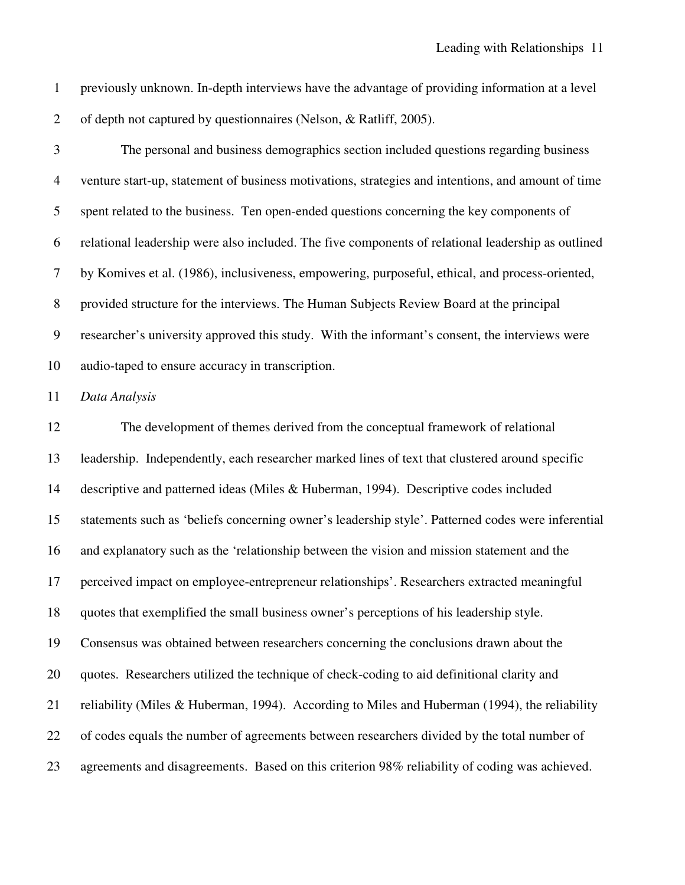1 previously unknown. In-depth interviews have the advantage of providing information at a level 2 of depth not captured by questionnaires (Nelson, & Ratliff, 2005).

3 The personal and business demographics section included questions regarding business 4 venture start-up, statement of business motivations, strategies and intentions, and amount of time 5 spent related to the business. Ten open-ended questions concerning the key components of 6 relational leadership were also included. The five components of relational leadership as outlined 7 by Komives et al. (1986), inclusiveness, empowering, purposeful, ethical, and process-oriented, 8 provided structure for the interviews. The Human Subjects Review Board at the principal 9 researcher's university approved this study. With the informant's consent, the interviews were 10 audio-taped to ensure accuracy in transcription.

11 *Data Analysis* 

12 The development of themes derived from the conceptual framework of relational 13 leadership. Independently, each researcher marked lines of text that clustered around specific 14 descriptive and patterned ideas (Miles & Huberman, 1994). Descriptive codes included 15 statements such as 'beliefs concerning owner's leadership style'. Patterned codes were inferential 16 and explanatory such as the 'relationship between the vision and mission statement and the 17 perceived impact on employee-entrepreneur relationships'. Researchers extracted meaningful 18 quotes that exemplified the small business owner's perceptions of his leadership style. 19 Consensus was obtained between researchers concerning the conclusions drawn about the 20 quotes. Researchers utilized the technique of check-coding to aid definitional clarity and 21 reliability (Miles & Huberman, 1994). According to Miles and Huberman (1994), the reliability 22 of codes equals the number of agreements between researchers divided by the total number of 23 agreements and disagreements. Based on this criterion 98% reliability of coding was achieved.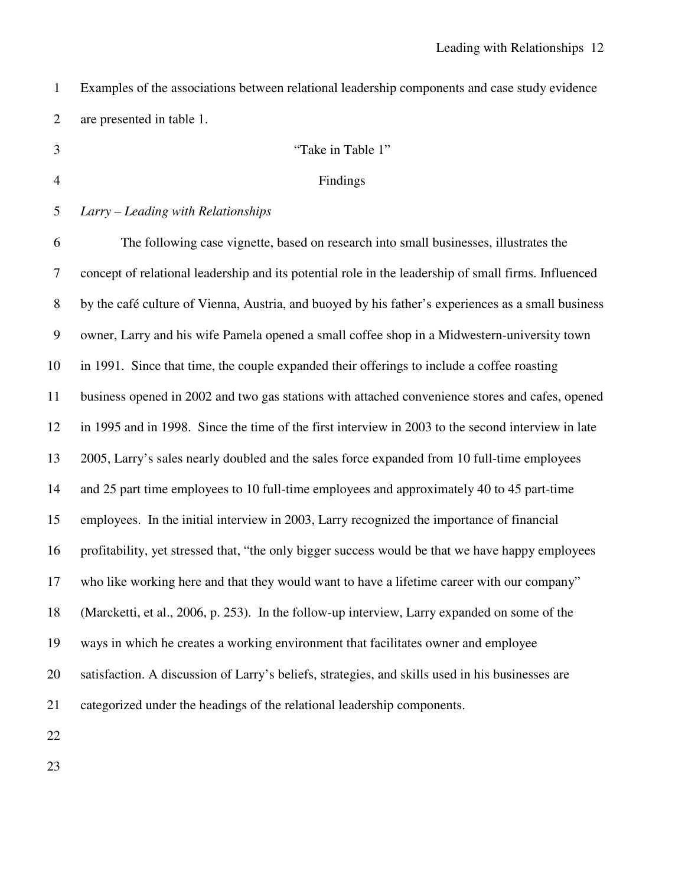| Examples of the associations between relational leadership components and case study evidence |
|-----------------------------------------------------------------------------------------------|
| are presented in table 1.                                                                     |

## 3 "Take in Table 1"

#### 4 Findings

## 5 *Larry – Leading with Relationships*

6 The following case vignette, based on research into small businesses, illustrates the 7 concept of relational leadership and its potential role in the leadership of small firms. Influenced 8 by the café culture of Vienna, Austria, and buoyed by his father's experiences as a small business 9 owner, Larry and his wife Pamela opened a small coffee shop in a Midwestern-university town 10 in 1991. Since that time, the couple expanded their offerings to include a coffee roasting 11 business opened in 2002 and two gas stations with attached convenience stores and cafes, opened 12 in 1995 and in 1998. Since the time of the first interview in 2003 to the second interview in late 13 2005, Larry's sales nearly doubled and the sales force expanded from 10 full-time employees 14 and 25 part time employees to 10 full-time employees and approximately 40 to 45 part-time 15 employees. In the initial interview in 2003, Larry recognized the importance of financial 16 profitability, yet stressed that, "the only bigger success would be that we have happy employees 17 who like working here and that they would want to have a lifetime career with our company" 18 (Marcketti, et al., 2006, p. 253). In the follow-up interview, Larry expanded on some of the 19 ways in which he creates a working environment that facilitates owner and employee 20 satisfaction. A discussion of Larry's beliefs, strategies, and skills used in his businesses are 21 categorized under the headings of the relational leadership components.

22

23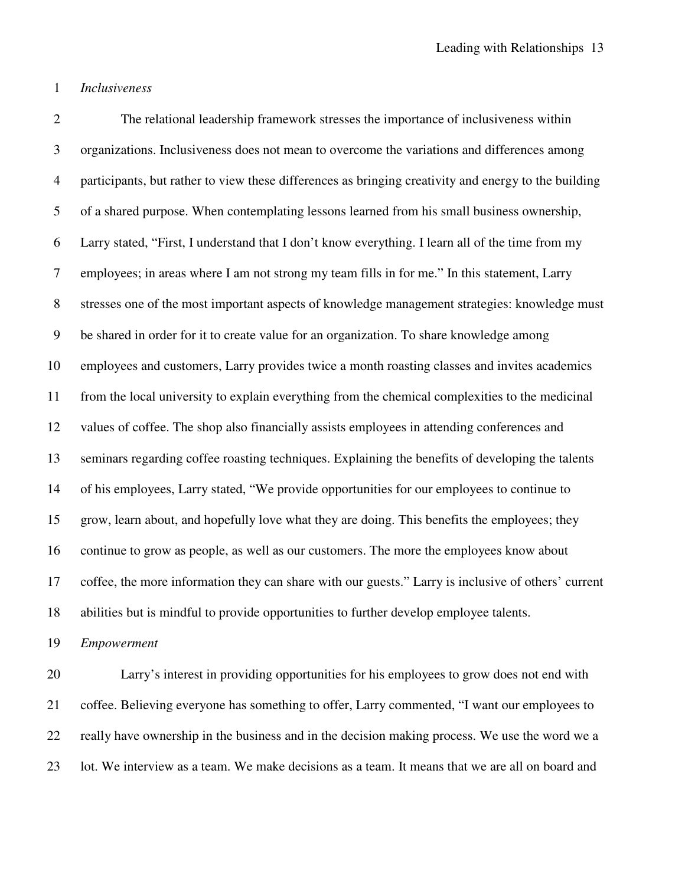1 *Inclusiveness* 

2 The relational leadership framework stresses the importance of inclusiveness within 3 organizations. Inclusiveness does not mean to overcome the variations and differences among 4 participants, but rather to view these differences as bringing creativity and energy to the building 5 of a shared purpose. When contemplating lessons learned from his small business ownership, 6 Larry stated, "First, I understand that I don't know everything. I learn all of the time from my 7 employees; in areas where I am not strong my team fills in for me." In this statement, Larry 8 stresses one of the most important aspects of knowledge management strategies: knowledge must 9 be shared in order for it to create value for an organization. To share knowledge among 10 employees and customers, Larry provides twice a month roasting classes and invites academics 11 from the local university to explain everything from the chemical complexities to the medicinal 12 values of coffee. The shop also financially assists employees in attending conferences and 13 seminars regarding coffee roasting techniques. Explaining the benefits of developing the talents 14 of his employees, Larry stated, "We provide opportunities for our employees to continue to 15 grow, learn about, and hopefully love what they are doing. This benefits the employees; they 16 continue to grow as people, as well as our customers. The more the employees know about 17 coffee, the more information they can share with our guests." Larry is inclusive of others' current 18 abilities but is mindful to provide opportunities to further develop employee talents.

19 *Empowerment* 

20 Larry's interest in providing opportunities for his employees to grow does not end with 21 coffee. Believing everyone has something to offer, Larry commented, "I want our employees to 22 really have ownership in the business and in the decision making process. We use the word we a 23 lot. We interview as a team. We make decisions as a team. It means that we are all on board and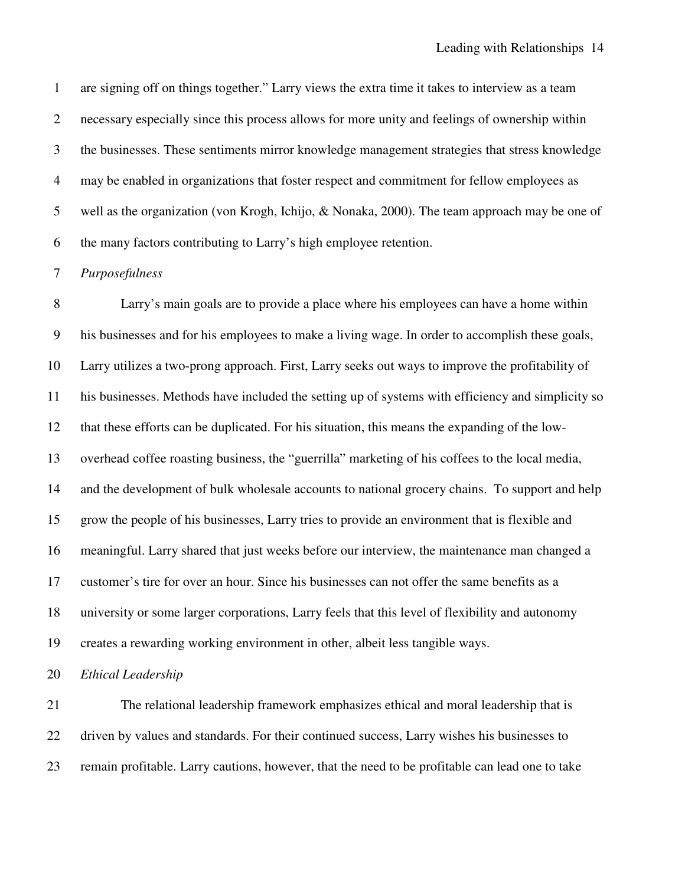1 are signing off on things together." Larry views the extra time it takes to interview as a team 2 necessary especially since this process allows for more unity and feelings of ownership within 3 the businesses. These sentiments mirror knowledge management strategies that stress knowledge 4 may be enabled in organizations that foster respect and commitment for fellow employees as 5 well as the organization (von Krogh, Ichijo, & Nonaka, 2000). The team approach may be one of 6 the many factors contributing to Larry's high employee retention.

### 7 *Purposefulness*

8 Larry's main goals are to provide a place where his employees can have a home within 9 his businesses and for his employees to make a living wage. In order to accomplish these goals, 10 Larry utilizes a two-prong approach. First, Larry seeks out ways to improve the profitability of 11 his businesses. Methods have included the setting up of systems with efficiency and simplicity so 12 that these efforts can be duplicated. For his situation, this means the expanding of the low-13 overhead coffee roasting business, the "guerrilla" marketing of his coffees to the local media, 14 and the development of bulk wholesale accounts to national grocery chains. To support and help 15 grow the people of his businesses, Larry tries to provide an environment that is flexible and 16 meaningful. Larry shared that just weeks before our interview, the maintenance man changed a 17 customer's tire for over an hour. Since his businesses can not offer the same benefits as a 18 university or some larger corporations, Larry feels that this level of flexibility and autonomy 19 creates a rewarding working environment in other, albeit less tangible ways.

20 *Ethical Leadership* 

21 The relational leadership framework emphasizes ethical and moral leadership that is 22 driven by values and standards. For their continued success, Larry wishes his businesses to 23 remain profitable. Larry cautions, however, that the need to be profitable can lead one to take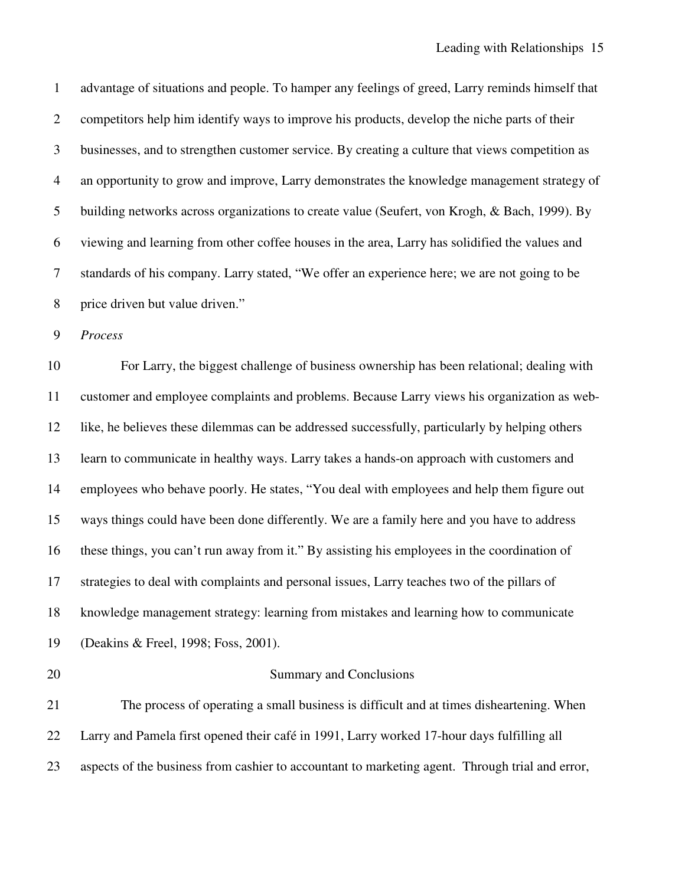1 advantage of situations and people. To hamper any feelings of greed, Larry reminds himself that 2 competitors help him identify ways to improve his products, develop the niche parts of their 3 businesses, and to strengthen customer service. By creating a culture that views competition as 4 an opportunity to grow and improve, Larry demonstrates the knowledge management strategy of 5 building networks across organizations to create value (Seufert, von Krogh, & Bach, 1999). By 6 viewing and learning from other coffee houses in the area, Larry has solidified the values and 7 standards of his company. Larry stated, "We offer an experience here; we are not going to be 8 price driven but value driven."

9 *Process* 

10 For Larry, the biggest challenge of business ownership has been relational; dealing with 11 customer and employee complaints and problems. Because Larry views his organization as web-12 like, he believes these dilemmas can be addressed successfully, particularly by helping others 13 learn to communicate in healthy ways. Larry takes a hands-on approach with customers and 14 employees who behave poorly. He states, "You deal with employees and help them figure out 15 ways things could have been done differently. We are a family here and you have to address 16 these things, you can't run away from it." By assisting his employees in the coordination of 17 strategies to deal with complaints and personal issues, Larry teaches two of the pillars of 18 knowledge management strategy: learning from mistakes and learning how to communicate 19 (Deakins & Freel, 1998; Foss, 2001).

### 20 Summary and Conclusions

21 The process of operating a small business is difficult and at times disheartening. When 22 Larry and Pamela first opened their café in 1991, Larry worked 17-hour days fulfilling all 23 aspects of the business from cashier to accountant to marketing agent. Through trial and error,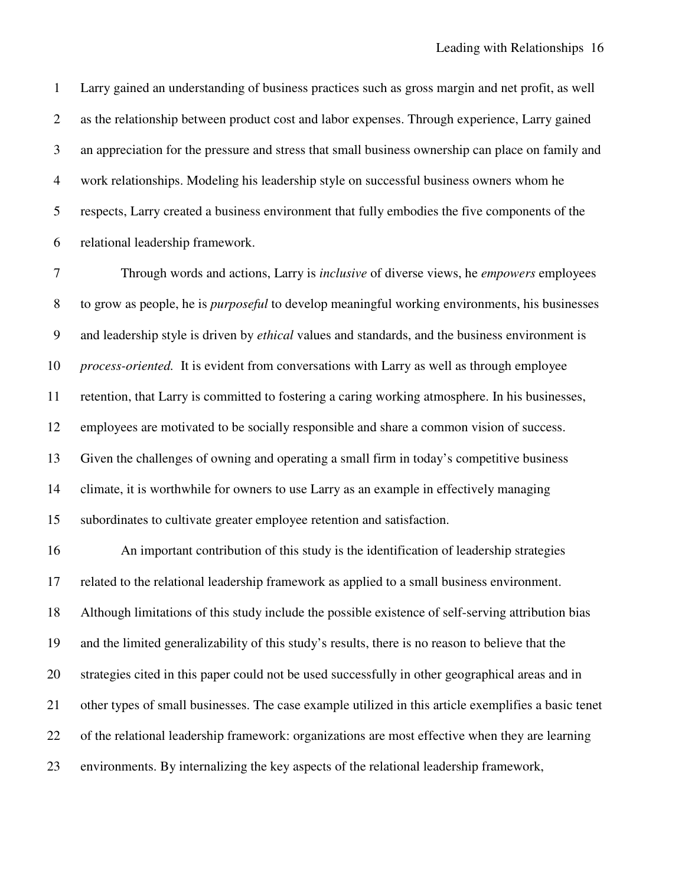1 Larry gained an understanding of business practices such as gross margin and net profit, as well 2 as the relationship between product cost and labor expenses. Through experience, Larry gained 3 an appreciation for the pressure and stress that small business ownership can place on family and 4 work relationships. Modeling his leadership style on successful business owners whom he 5 respects, Larry created a business environment that fully embodies the five components of the 6 relational leadership framework.

7 Through words and actions, Larry is *inclusive* of diverse views, he *empowers* employees 8 to grow as people, he is *purposeful* to develop meaningful working environments, his businesses 9 and leadership style is driven by *ethical* values and standards, and the business environment is 10 *process-oriented.* It is evident from conversations with Larry as well as through employee 11 retention, that Larry is committed to fostering a caring working atmosphere. In his businesses, 12 employees are motivated to be socially responsible and share a common vision of success. 13 Given the challenges of owning and operating a small firm in today's competitive business 14 climate, it is worthwhile for owners to use Larry as an example in effectively managing 15 subordinates to cultivate greater employee retention and satisfaction.

16 An important contribution of this study is the identification of leadership strategies 17 related to the relational leadership framework as applied to a small business environment. 18 Although limitations of this study include the possible existence of self-serving attribution bias 19 and the limited generalizability of this study's results, there is no reason to believe that the 20 strategies cited in this paper could not be used successfully in other geographical areas and in 21 other types of small businesses. The case example utilized in this article exemplifies a basic tenet 22 of the relational leadership framework: organizations are most effective when they are learning 23 environments. By internalizing the key aspects of the relational leadership framework,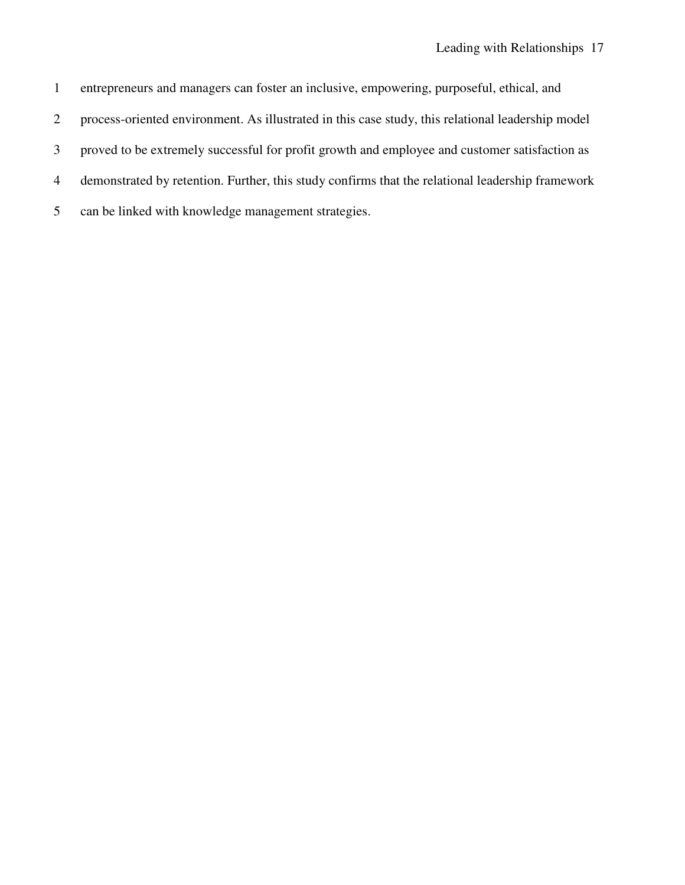1 entrepreneurs and managers can foster an inclusive, empowering, purposeful, ethical, and 2 process-oriented environment. As illustrated in this case study, this relational leadership model 3 proved to be extremely successful for profit growth and employee and customer satisfaction as 4 demonstrated by retention. Further, this study confirms that the relational leadership framework 5 can be linked with knowledge management strategies.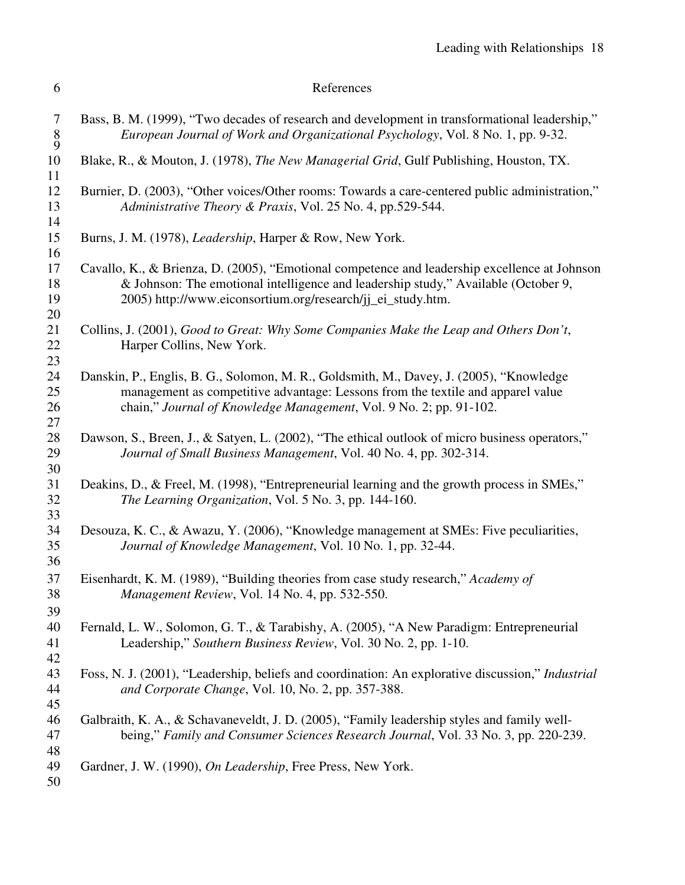| 6 | References |
|---|------------|
|---|------------|

| 7<br>$\frac{8}{9}$   | Bass, B. M. (1999), "Two decades of research and development in transformational leadership,"<br>European Journal of Work and Organizational Psychology, Vol. 8 No. 1, pp. 9-32.                                                                   |
|----------------------|----------------------------------------------------------------------------------------------------------------------------------------------------------------------------------------------------------------------------------------------------|
| 10<br>11             | Blake, R., & Mouton, J. (1978), The New Managerial Grid, Gulf Publishing, Houston, TX.                                                                                                                                                             |
| 12<br>13             | Burnier, D. (2003), "Other voices/Other rooms: Towards a care-centered public administration,"<br>Administrative Theory & Praxis, Vol. 25 No. 4, pp.529-544.                                                                                       |
| 14<br>15<br>16       | Burns, J. M. (1978), <i>Leadership</i> , Harper & Row, New York.                                                                                                                                                                                   |
| 17<br>18<br>19<br>20 | Cavallo, K., & Brienza, D. (2005), "Emotional competence and leadership excellence at Johnson<br>& Johnson: The emotional intelligence and leadership study," Available (October 9,<br>2005) http://www.eiconsortium.org/research/jj_ei_study.htm. |
| 21<br>22             | Collins, J. (2001), Good to Great: Why Some Companies Make the Leap and Others Don't,<br>Harper Collins, New York.                                                                                                                                 |
| 23<br>24<br>25<br>26 | Danskin, P., Englis, B. G., Solomon, M. R., Goldsmith, M., Davey, J. (2005), "Knowledge<br>management as competitive advantage: Lessons from the textile and apparel value<br>chain," Journal of Knowledge Management, Vol. 9 No. 2; pp. 91-102.   |
| 27<br>28<br>29       | Dawson, S., Breen, J., & Satyen, L. (2002), "The ethical outlook of micro business operators,"<br>Journal of Small Business Management, Vol. 40 No. 4, pp. 302-314.                                                                                |
| 30<br>31<br>32       | Deakins, D., & Freel, M. (1998), "Entrepreneurial learning and the growth process in SMEs,"<br>The Learning Organization, Vol. 5 No. 3, pp. 144-160.                                                                                               |
| 33<br>34<br>35       | Desouza, K. C., & Awazu, Y. (2006), "Knowledge management at SMEs: Five peculiarities,<br>Journal of Knowledge Management, Vol. 10 No. 1, pp. 32-44.                                                                                               |
| 36<br>37<br>38       | Eisenhardt, K. M. (1989), "Building theories from case study research," Academy of<br>Management Review, Vol. 14 No. 4, pp. 532-550.                                                                                                               |
| 39<br>40<br>41<br>42 | Fernald, L. W., Solomon, G. T., & Tarabishy, A. (2005), "A New Paradigm: Entrepreneurial<br>Leadership," Southern Business Review, Vol. 30 No. 2, pp. 1-10.                                                                                        |
| 43<br>44<br>45       | Foss, N. J. (2001), "Leadership, beliefs and coordination: An explorative discussion," <i>Industrial</i><br>and Corporate Change, Vol. 10, No. 2, pp. 357-388.                                                                                     |
| 46<br>47<br>48       | Galbraith, K. A., & Schavaneveldt, J. D. (2005), "Family leadership styles and family well-<br>being," Family and Consumer Sciences Research Journal, Vol. 33 No. 3, pp. 220-239.                                                                  |
| 49<br>50             | Gardner, J. W. (1990), On Leadership, Free Press, New York.                                                                                                                                                                                        |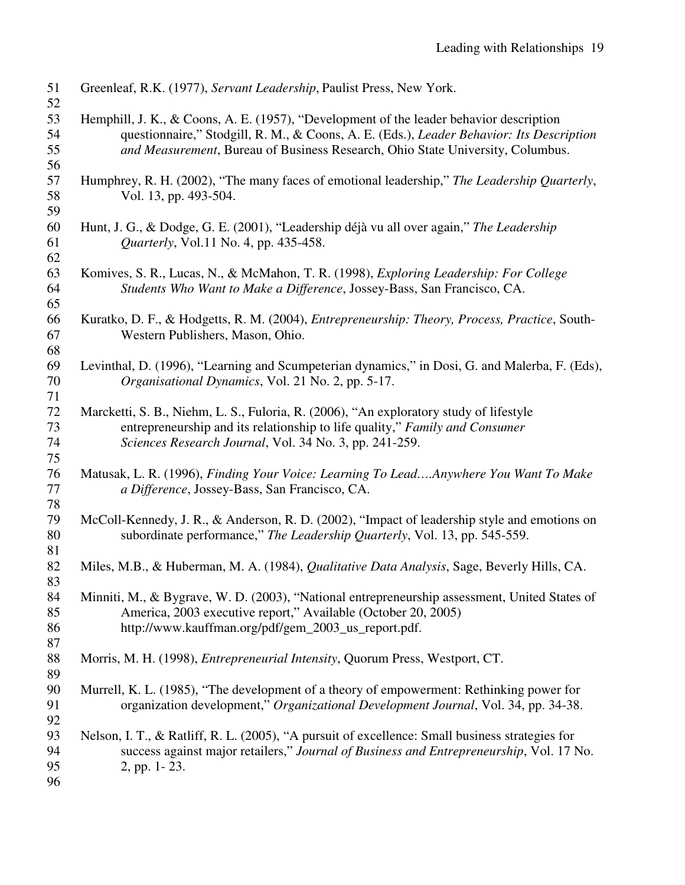| 51<br>52             | Greenleaf, R.K. (1977), Servant Leadership, Paulist Press, New York.                                                                                                                                                                                                  |
|----------------------|-----------------------------------------------------------------------------------------------------------------------------------------------------------------------------------------------------------------------------------------------------------------------|
| 53<br>54<br>55<br>56 | Hemphill, J. K., & Coons, A. E. (1957), "Development of the leader behavior description<br>questionnaire," Stodgill, R. M., & Coons, A. E. (Eds.), Leader Behavior: Its Description<br>and Measurement, Bureau of Business Research, Ohio State University, Columbus. |
| 57<br>58<br>59       | Humphrey, R. H. (2002), "The many faces of emotional leadership," The Leadership Quarterly,<br>Vol. 13, pp. 493-504.                                                                                                                                                  |
| 60<br>61<br>62       | Hunt, J. G., & Dodge, G. E. (2001), "Leadership déjà vu all over again," The Leadership<br><i>Quarterly</i> , Vol.11 No. 4, pp. 435-458.                                                                                                                              |
| 63<br>64<br>65       | Komives, S. R., Lucas, N., & McMahon, T. R. (1998), Exploring Leadership: For College<br>Students Who Want to Make a Difference, Jossey-Bass, San Francisco, CA.                                                                                                      |
| 66<br>67<br>68       | Kuratko, D. F., & Hodgetts, R. M. (2004), Entrepreneurship: Theory, Process, Practice, South-<br>Western Publishers, Mason, Ohio.                                                                                                                                     |
| 69<br>70<br>71       | Levinthal, D. (1996), "Learning and Scumpeterian dynamics," in Dosi, G. and Malerba, F. (Eds),<br>Organisational Dynamics, Vol. 21 No. 2, pp. 5-17.                                                                                                                   |
| 72<br>73<br>74<br>75 | Marcketti, S. B., Niehm, L. S., Fuloria, R. (2006), "An exploratory study of lifestyle<br>entrepreneurship and its relationship to life quality," Family and Consumer<br>Sciences Research Journal, Vol. 34 No. 3, pp. 241-259.                                       |
| 76<br>77<br>78       | Matusak, L. R. (1996), Finding Your Voice: Learning To LeadAnywhere You Want To Make<br>a Difference, Jossey-Bass, San Francisco, CA.                                                                                                                                 |
| 79<br>80<br>81       | McColl-Kennedy, J. R., & Anderson, R. D. (2002), "Impact of leadership style and emotions on<br>subordinate performance," The Leadership Quarterly, Vol. 13, pp. 545-559.                                                                                             |
| 82<br>83             | Miles, M.B., & Huberman, M. A. (1984), Qualitative Data Analysis, Sage, Beverly Hills, CA.                                                                                                                                                                            |
| 84<br>85<br>86<br>87 | Minniti, M., & Bygrave, W. D. (2003), "National entrepreneurship assessment, United States of<br>America, 2003 executive report," Available (October 20, 2005)<br>http://www.kauffman.org/pdf/gem_2003_us_report.pdf.                                                 |
| 88<br>89             | Morris, M. H. (1998), <i>Entrepreneurial Intensity</i> , Quorum Press, Westport, CT.                                                                                                                                                                                  |
| 90<br>91<br>92       | Murrell, K. L. (1985), "The development of a theory of empowerment: Rethinking power for<br>organization development," Organizational Development Journal, Vol. 34, pp. 34-38.                                                                                        |
| 93<br>94<br>95<br>96 | Nelson, I. T., & Ratliff, R. L. (2005), "A pursuit of excellence: Small business strategies for<br>success against major retailers," Journal of Business and Entrepreneurship, Vol. 17 No.<br>2, pp. 1-23.                                                            |